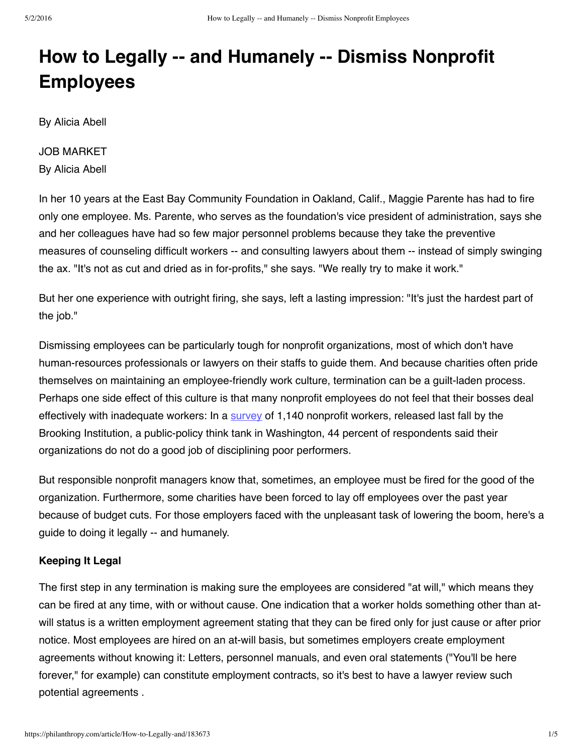# **How to Legally -- and Humanely -- Dismiss Nonprofit Employees**

By Alicia Abell

JOB MARKET By Alicia Abell

In her 10 years at the East Bay Community Foundation in Oakland, Calif., Maggie Parente has had to fire only one employee. Ms. Parente, who serves as the foundation's vice president of administration, says she and her colleagues have had so few major personnel problems because they take the preventive measures of counseling difficult workers -- and consulting lawyers about them -- instead of simply swinging the ax. "It's not as cut and dried as in for-profits," she says. "We really try to make it work."

But her one experience with outright firing, she says, left a lasting impression: "It's just the hardest part of the job."

Dismissing employees can be particularly tough for nonprofit organizations, most of which don't have human-resources professionals or lawyers on their staffs to guide them. And because charities often pride themselves on maintaining an employee-friendly work culture, termination can be a guilt-laden process. Perhaps one side effect of this culture is that many nonprofit employees do not feel that their bosses deal effectively with inadequate workers: In a [survey](http://philanthropy.com/jobs/2002/10/17/20021017-93602047.htm) of 1,140 nonprofit workers, released last fall by the Brooking Institution, a public-policy think tank in Washington, 44 percent of respondents said their organizations do not do a good job of disciplining poor performers.

But responsible nonprofit managers know that, sometimes, an employee must be fired for the good of the organization. Furthermore, some charities have been forced to lay off employees over the past year because of budget cuts. For those employers faced with the unpleasant task of lowering the boom, here's a guide to doing it legally -- and humanely.

## **Keeping It Legal**

The first step in any termination is making sure the employees are considered "at will," which means they can be fired at any time, with or without cause. One indication that a worker holds something other than atwill status is a written employment agreement stating that they can be fired only for just cause or after prior notice. Most employees are hired on an at-will basis, but sometimes employers create employment agreements without knowing it: Letters, personnel manuals, and even oral statements ("You'll be here forever," for example) can constitute employment contracts, so it's best to have a lawyer review such potential agreements .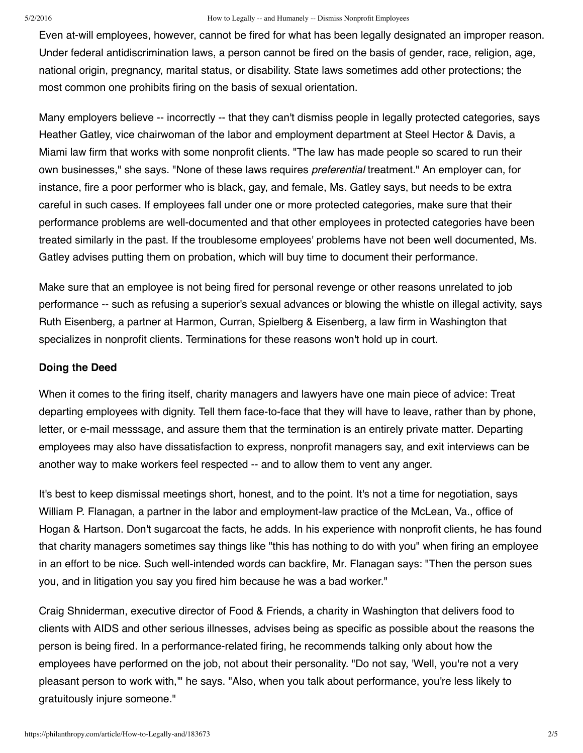#### 5/2/2016 How to Legally -- and Humanely -- Dismiss Nonprofit Employees

Even at-will employees, however, cannot be fired for what has been legally designated an improper reason. Under federal antidiscrimination laws, a person cannot be fired on the basis of gender, race, religion, age, national origin, pregnancy, marital status, or disability. State laws sometimes add other protections; the most common one prohibits firing on the basis of sexual orientation.

Many employers believe -- incorrectly -- that they can't dismiss people in legally protected categories, says Heather Gatley, vice chairwoman of the labor and employment department at Steel Hector & Davis, a Miami law firm that works with some nonprofit clients. "The law has made people so scared to run their own businesses," she says. "None of these laws requires *preferential* treatment." An employer can, for instance, fire a poor performer who is black, gay, and female, Ms. Gatley says, but needs to be extra careful in such cases. If employees fall under one or more protected categories, make sure that their performance problems are well-documented and that other employees in protected categories have been treated similarly in the past. If the troublesome employees' problems have not been well documented, Ms. Gatley advises putting them on probation, which will buy time to document their performance.

Make sure that an employee is not being fired for personal revenge or other reasons unrelated to job performance -- such as refusing a superior's sexual advances or blowing the whistle on illegal activity, says Ruth Eisenberg, a partner at Harmon, Curran, Spielberg & Eisenberg, a law firm in Washington that specializes in nonprofit clients. Terminations for these reasons won't hold up in court.

### **Doing the Deed**

When it comes to the firing itself, charity managers and lawyers have one main piece of advice: Treat departing employees with dignity. Tell them face-to-face that they will have to leave, rather than by phone, letter, or e-mail messsage, and assure them that the termination is an entirely private matter. Departing employees may also have dissatisfaction to express, nonprofit managers say, and exit interviews can be another way to make workers feel respected -- and to allow them to vent any anger.

It's best to keep dismissal meetings short, honest, and to the point. It's not a time for negotiation, says William P. Flanagan, a partner in the labor and employment-law practice of the McLean, Va., office of Hogan & Hartson. Don't sugarcoat the facts, he adds. In his experience with nonprofit clients, he has found that charity managers sometimes say things like "this has nothing to do with you" when firing an employee in an effort to be nice. Such well-intended words can backfire, Mr. Flanagan says: "Then the person sues you, and in litigation you say you fired him because he was a bad worker."

Craig Shniderman, executive director of Food & Friends, a charity in Washington that delivers food to clients with AIDS and other serious illnesses, advises being as specific as possible about the reasons the person is being fired. In a performance-related firing, he recommends talking only about how the employees have performed on the job, not about their personality. "Do not say, 'Well, you're not a very pleasant person to work with,'" he says. "Also, when you talk about performance, you're less likely to gratuitously injure someone."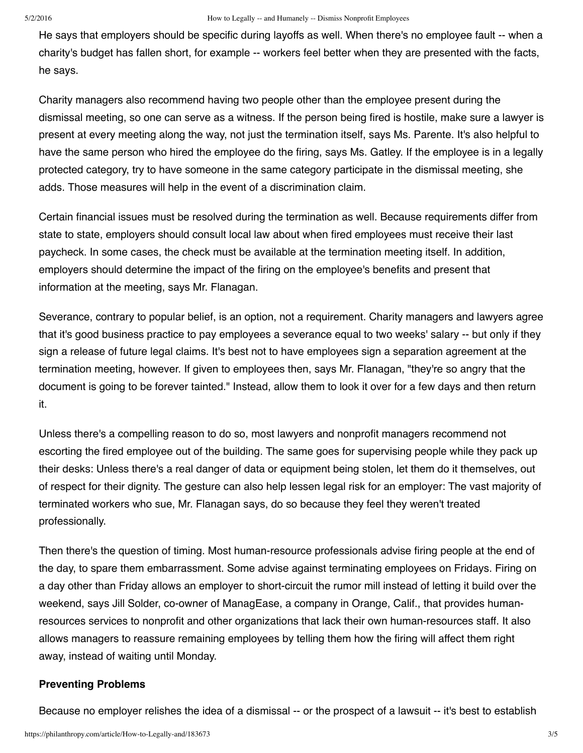He says that employers should be specific during layoffs as well. When there's no employee fault -- when a charity's budget has fallen short, for example -- workers feel better when they are presented with the facts, he says.

Charity managers also recommend having two people other than the employee present during the dismissal meeting, so one can serve as a witness. If the person being fired is hostile, make sure a lawyer is present at every meeting along the way, not just the termination itself, says Ms. Parente. It's also helpful to have the same person who hired the employee do the firing, says Ms. Gatley. If the employee is in a legally protected category, try to have someone in the same category participate in the dismissal meeting, she adds. Those measures will help in the event of a discrimination claim.

Certain financial issues must be resolved during the termination as well. Because requirements differ from state to state, employers should consult local law about when fired employees must receive their last paycheck. In some cases, the check must be available at the termination meeting itself. In addition, employers should determine the impact of the firing on the employee's benefits and present that information at the meeting, says Mr. Flanagan.

Severance, contrary to popular belief, is an option, not a requirement. Charity managers and lawyers agree that it's good business practice to pay employees a severance equal to two weeks' salary -- but only if they sign a release of future legal claims. It's best not to have employees sign a separation agreement at the termination meeting, however. If given to employees then, says Mr. Flanagan, "they're so angry that the document is going to be forever tainted." Instead, allow them to look it over for a few days and then return it.

Unless there's a compelling reason to do so, most lawyers and nonprofit managers recommend not escorting the fired employee out of the building. The same goes for supervising people while they pack up their desks: Unless there's a real danger of data or equipment being stolen, let them do it themselves, out of respect for their dignity. The gesture can also help lessen legal risk for an employer: The vast majority of terminated workers who sue, Mr. Flanagan says, do so because they feel they weren't treated professionally.

Then there's the question of timing. Most human-resource professionals advise firing people at the end of the day, to spare them embarrassment. Some advise against terminating employees on Fridays. Firing on a day other than Friday allows an employer to short-circuit the rumor mill instead of letting it build over the weekend, says Jill Solder, co-owner of ManagEase, a company in Orange, Calif., that provides humanresources services to nonprofit and other organizations that lack their own human-resources staff. It also allows managers to reassure remaining employees by telling them how the firing will affect them right away, instead of waiting until Monday.

## **Preventing Problems**

Because no employer relishes the idea of a dismissal -- or the prospect of a lawsuit -- it's best to establish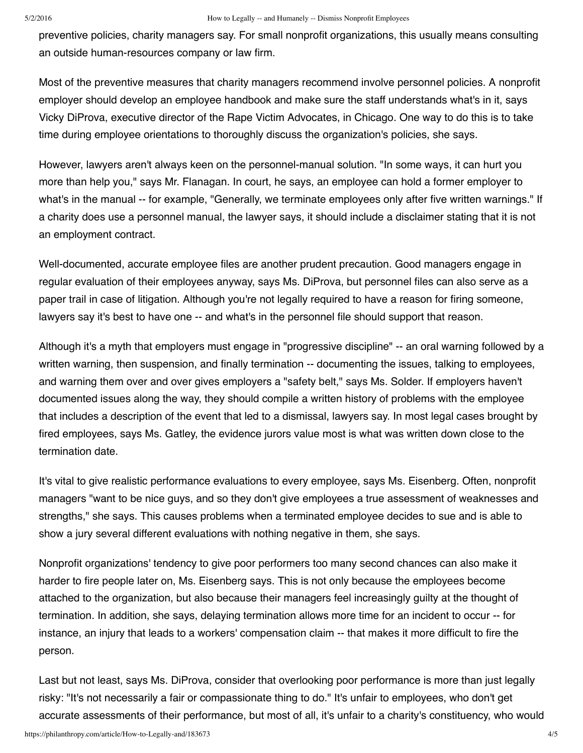preventive policies, charity managers say. For small nonprofit organizations, this usually means consulting an outside human-resources company or law firm.

Most of the preventive measures that charity managers recommend involve personnel policies. A nonprofit employer should develop an employee handbook and make sure the staff understands what's in it, says Vicky DiProva, executive director of the Rape Victim Advocates, in Chicago. One way to do this is to take time during employee orientations to thoroughly discuss the organization's policies, she says.

However, lawyers aren't always keen on the personnel-manual solution. "In some ways, it can hurt you more than help you," says Mr. Flanagan. In court, he says, an employee can hold a former employer to what's in the manual -- for example, "Generally, we terminate employees only after five written warnings." If a charity does use a personnel manual, the lawyer says, it should include a disclaimer stating that it is not an employment contract.

Well-documented, accurate employee files are another prudent precaution. Good managers engage in regular evaluation of their employees anyway, says Ms. DiProva, but personnel files can also serve as a paper trail in case of litigation. Although you're not legally required to have a reason for firing someone, lawyers say it's best to have one -- and what's in the personnel file should support that reason.

Although it's a myth that employers must engage in "progressive discipline" -- an oral warning followed by a written warning, then suspension, and finally termination -- documenting the issues, talking to employees, and warning them over and over gives employers a "safety belt," says Ms. Solder. If employers haven't documented issues along the way, they should compile a written history of problems with the employee that includes a description of the event that led to a dismissal, lawyers say. In most legal cases brought by fired employees, says Ms. Gatley, the evidence jurors value most is what was written down close to the termination date.

It's vital to give realistic performance evaluations to every employee, says Ms. Eisenberg. Often, nonprofit managers "want to be nice guys, and so they don't give employees a true assessment of weaknesses and strengths," she says. This causes problems when a terminated employee decides to sue and is able to show a jury several different evaluations with nothing negative in them, she says.

Nonprofit organizations' tendency to give poor performers too many second chances can also make it harder to fire people later on, Ms. Eisenberg says. This is not only because the employees become attached to the organization, but also because their managers feel increasingly guilty at the thought of termination. In addition, she says, delaying termination allows more time for an incident to occur -- for instance, an injury that leads to a workers' compensation claim -- that makes it more difficult to fire the person.

Last but not least, says Ms. DiProva, consider that overlooking poor performance is more than just legally risky: "It's not necessarily a fair or compassionate thing to do." It's unfair to employees, who don't get accurate assessments of their performance, but most of all, it's unfair to a charity's constituency, who would